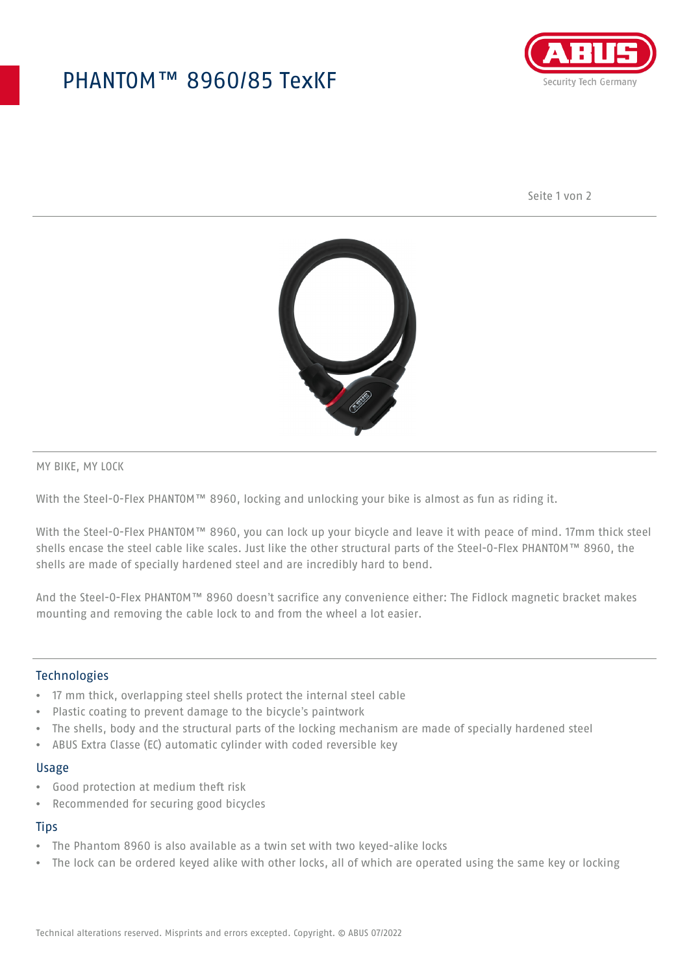## PHANTOM™ 8960/85 TexKF



Seite 1 von 2



MY BIKE, MY LOCK

With the Steel-O-Flex PHANTOM™ 8960, locking and unlocking your bike is almost as fun as riding it.

With the Steel-O-Flex PHANTOM™ 8960, you can lock up your bicycle and leave it with peace of mind. 17mm thick steel shells encase the steel cable like scales. Just like the other structural parts of the Steel-O-Flex PHANTOM™ 8960, the shells are made of specially hardened steel and are incredibly hard to bend.

And the Steel-O-Flex PHANTOM™ 8960 doesn't sacrifice any convenience either: The Fidlock magnetic bracket makes mounting and removing the cable lock to and from the wheel a lot easier.

### Technologies

- 17 mm thick, overlapping steel shells protect the internal steel cable
- Plastic coating to prevent damage to the bicycle's paintwork
- The shells, body and the structural parts of the locking mechanism are made of specially hardened steel
- ABUS Extra Classe (EC) automatic cylinder with coded reversible key

#### Usage

- Good protection at medium theft risk
- Recommended for securing good bicycles

#### **Tips**

- The Phantom 8960 is also available as a twin set with two keyed-alike locks
- The lock can be ordered keyed alike with other locks, all of which are operated using the same key or locking